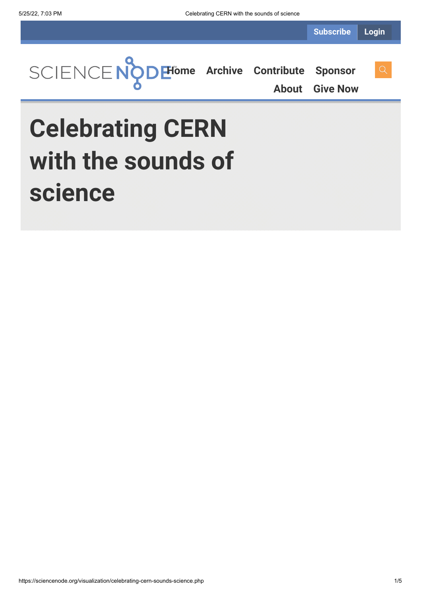

**[About](https://sciencenode.org/about/index.php) [Give Now](https://sciencenode.org/donate/index.php)**

# **Celebrating CERN with the sounds of science**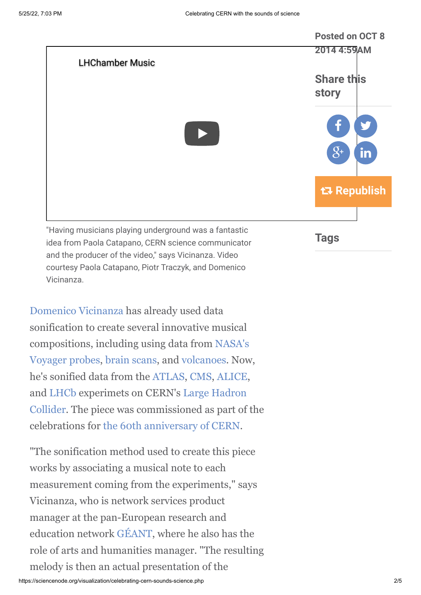

and the producer of the video," says Vicinanza. Video courtesy Paola Catapano, Piotr Traczyk, and Domenico Vicinanza.

[Domenico Vicinanza](http://network.nature.com/profile/domenico) has already used data sonification to create several innovative musical compositions, including using data from NASA's [Voyager probes, brain scans, and volcanoes. Now](http://www.isgtw.org/feature/where-no-musician-has-gone), he's sonified data from the [ATLAS](http://home.web.cern.ch/about/experiments/atlas), [CMS](http://home.web.cern.ch/about/experiments/cms), [ALICE](http://home.web.cern.ch/about/experiments/alice), [and LHCb experimets on CERN's Large Hadron](http://home.web.cern.ch/topics/large-hadron-collider) Collider. The piece was commissioned as part of the celebrations for [the 60th anniversary of CERN](http://cern60.web.cern.ch/en).

"The sonification method used to create this piece works by associating a musical note to each measurement coming from the experiments," says Vicinanza, who is network services product manager at the pan-European research and education network [GÉANT](http://www.geant.net/Pages/default.aspx), where he also has the role of arts and humanities manager. "The resulting melody is then an actual presentation of the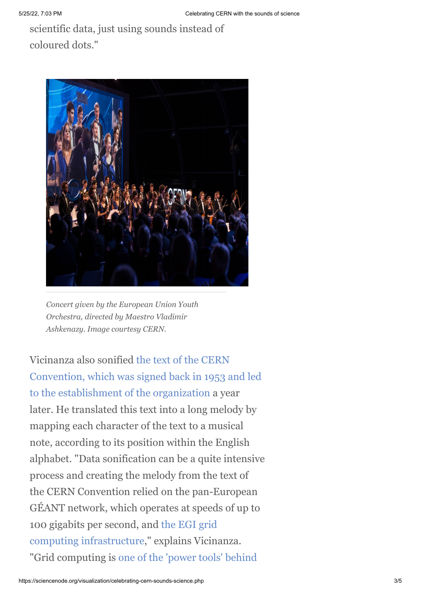scientific data, just using sounds instead of coloured dots."



*Concert given by the European Union Youth Orchestra, directed by Maestro Vladimir Ashkenazy. Image courtesy CERN.*

Vicinanza also sonified the text of the CERN [Convention, which was signed back in 1953 and led](http://www.isgtw.org/spotlight/cern-and-unesco-celebrate-anniversary-cern-convention) to the establishment of the organization a year later. He translated this text into a long melody by mapping each character of the text to a musical note, according to its position within the English alphabet. "Data sonification can be a quite intensive process and creating the melody from the text of the CERN Convention relied on the pan-European GÉANT network, which operates at speeds of up to [100 gigabits per second, and the EGI grid](http://www.egi.eu/) computing infrastructure," explains Vicinanza. ["Grid computing is one of the 'power tools' behind](https://www.google.ch/url?sa=t&rct=j&q=&esrc=s&source=web&cd=2&cad=rja&uact=8&ved=0CCMQFjAB&url=http%3A%2F%2Fwww.isgtw.org%2Ffeature%2Fhow-grid-computing-helped-cern-hunt-higgs&ei=IY0uVJb1DIPUONDWgYAG&usg=AFQjCNH-WISgDGyV-ePhslIioUmg7PnQcg&bvm=bv.76802529,d.bGQ)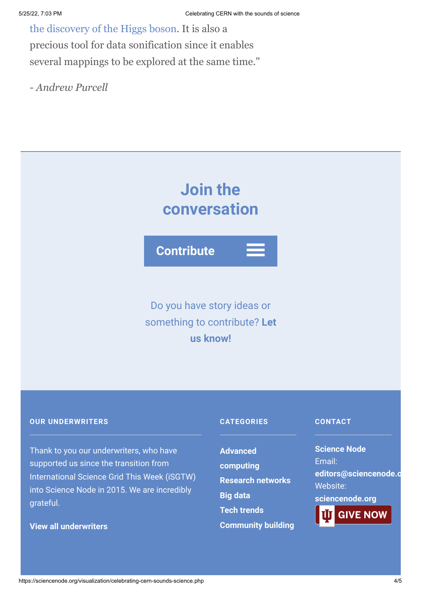[the discovery of the Higgs boson. It is also a](https://www.google.ch/url?sa=t&rct=j&q=&esrc=s&source=web&cd=2&cad=rja&uact=8&ved=0CCMQFjAB&url=http%3A%2F%2Fwww.isgtw.org%2Ffeature%2Fhow-grid-computing-helped-cern-hunt-higgs&ei=IY0uVJb1DIPUONDWgYAG&usg=AFQjCNH-WISgDGyV-ePhslIioUmg7PnQcg&bvm=bv.76802529,d.bGQ) precious tool for data sonification since it enables several mappings to be explored at the same time."

*- Andrew Purcell*



**Contribute**

Do you have story ideas or something to contribute? **Let us know!**

#### **OUR UNDERWRITERS**

Thank to you our underwriters, who have supported us since the transition from International Science Grid This Week (iSGTW) into Science Node in 2015. We are incredibly grateful.

**[View all underwriters](https://sciencenode.org/about/index.php)**

## **CATEGORIES**

**Advanced [computing](https://sciencenode.org/archive/?year=2016&category=Advanced%20computing) [Research networks](https://sciencenode.org/archive/?year=2016&category=Advanced%20computing&category=Research%20networks) [Big data](https://sciencenode.org/archive/?year=2016&category=Advanced%20computing&category=Research%20networks&category=Big%20data) [Tech trends](https://sciencenode.org/archive/?year=2016&category=Advanced%20computing&category=Research%20networks&category=Big%20data&category=Tech%20trends) [Community building](https://sciencenode.org/archive/?year=2016&category=Advanced%20computing&category=Research%20networks&category=Big%20data&category=Tech%20trends&category=Community%20building)**

#### **CONTACT**

**Science Node** Email: **[editors@sciencenode.o](mailto:edit%6F%72s@s%63%69encenode.%6F%72%67)** Website: **[sciencenode.org](https://sciencenode.org/)**